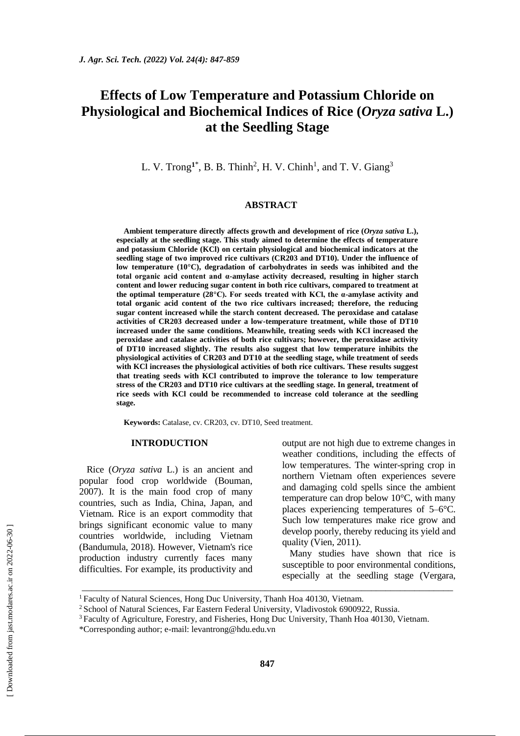# **Effects of Low Temperature and Potassium Chloride on Physiological and Biochemical Indices of Rice (***Oryza sativa* **L.) at the Seedling Stage**

L. V. Trong<sup>1\*</sup>, B. B. Thinh<sup>2</sup>, H. V. Chinh<sup>1</sup>, and T. V. Giang<sup>3</sup>

#### **ABSTRACT**

**Ambient temperature directly affects growth and development of rice (***Oryza sativa* **L.), especially at the seedling stage. This study aimed to determine the effects of temperature and potassium Chloride (KCl) on certain physiological and biochemical indicators at the seedling stage of two improved rice cultivars (CR203 and DT10). Under the influence of low temperature (10°C), degradation of carbohydrates in seeds was inhibited and the total organic acid content and α-amylase activity decreased, resulting in higher starch content and lower reducing sugar content in both rice cultivars, compared to treatment at the optimal temperature (28°C). For seeds treated with KCl, the**  $\alpha$ **-amylase activity and total organic acid content of the two rice cultivars increased; therefore, the reducing sugar content increased while the starch content decreased. The peroxidase and catalase activities of CR203 decreased under a low-temperature treatment, while those of DT10 increased under the same conditions. Meanwhile, treating seeds with KCl increased the peroxidase and catalase activities of both rice cultivars; however, the peroxidase activity of DT10 increased slightly. The results also suggest that low temperature inhibits the physiological activities of CR203 and DT10 at the seedling stage, while treatment of seeds with KCl increases the physiological activities of both rice cultivars. These results suggest that treating seeds with KCl contributed to improve the tolerance to low temperature stress of the CR203 and DT10 rice cultivars at the seedling stage. In general, treatment of rice seeds with KCl could be recommended to increase cold tolerance at the seedling stage.**

**Keywords:** Catalase, cv. CR203, cv. DT10, Seed treatment.

### **INTRODUCTION**

Rice (*Oryza sativa* L.) is an ancient and popular food crop worldwide (Bouman, 2007). It is the main food crop of many countries, such as India, China, Japan, and Vietnam. Rice is an export commodity that brings significant economic value to many countries worldwide, including Vietnam (Bandumula, 2018). However, Vietnam's rice production industry currently faces many difficulties. For example, its productivity and output are not high due to extreme changes in weather conditions, including the effects of low temperatures. The winter-spring crop in northern Vietnam often experiences severe and damaging cold spells since the ambient temperature can drop below 10°C, with many places experiencing temperatures of 5–6°C. Such low temperatures make rice grow and develop poorly, thereby reducing its yield and quality (Vien, 2011).

Many studies have shown that rice is susceptible to poor environmental conditions, especially at the seedling stage (Vergara,

\_\_\_\_\_\_\_\_\_\_\_\_\_\_\_\_\_\_\_\_\_\_\_\_\_\_\_\_\_\_\_\_\_\_\_\_\_\_\_\_\_\_\_\_\_\_\_\_\_\_\_\_\_\_\_\_\_\_\_\_\_\_\_\_\_\_\_\_\_\_\_\_\_\_\_\_\_

<sup>&</sup>lt;sup>1</sup> Faculty of Natural Sciences, Hong Duc University, Thanh Hoa 40130, Vietnam.

<sup>&</sup>lt;sup>2</sup> School of Natural Sciences, Far Eastern Federal University, Vladivostok 6900922, Russia.

<sup>&</sup>lt;sup>3</sup> Faculty of Agriculture, Forestry, and Fisheries, Hong Duc University, Thanh Hoa 40130, Vietnam.

<sup>\*</sup>Corresponding author; e-mail: [levantrong@hdu.edu.vn](mailto:levantrong@hdu.edu.vn)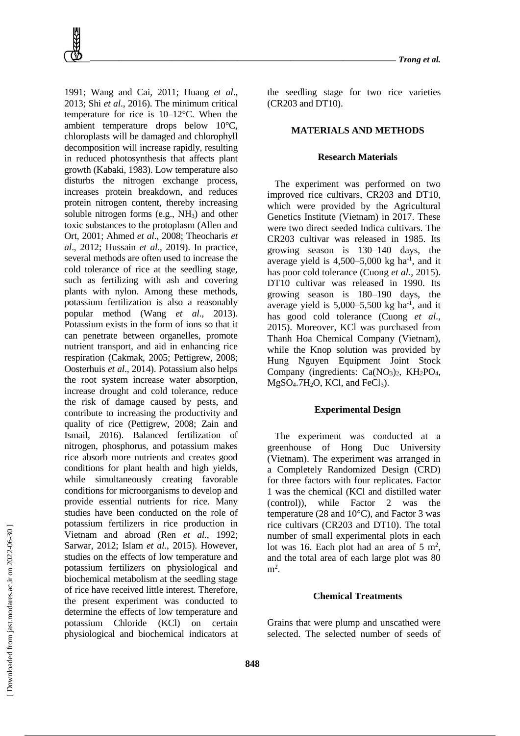1991; Wang and Cai, 2011; Huang *et al*., 2013; Shi *et al*., 2016). The minimum critical temperature for rice is 10–12°C. When the ambient temperature drops below 10°C, chloroplasts will be damaged and chlorophyll decomposition will increase rapidly, resulting in reduced photosynthesis that affects plant growth (Kabaki, 1983). Low temperature also disturbs the nitrogen exchange process, increases protein breakdown, and reduces protein nitrogen content, thereby increasing soluble nitrogen forms (e.g., NH3) and other toxic substances to the protoplasm (Allen and Ort, 2001; Ahmed *et al*., 2008; Theocharis *et al*., 2012; Hussain *et al*., 2019). In practice, several methods are often used to increase the cold tolerance of rice at the seedling stage, such as fertilizing with ash and covering plants with nylon. Among these methods, potassium fertilization is also a reasonably popular method (Wang *et al*., 2013). Potassium exists in the form of ions so that it can penetrate between organelles, promote nutrient transport, and aid in enhancing rice respiration (Cakmak, 2005; Pettigrew, 2008; Oosterhuis *et al*., 2014). Potassium also helps the root system increase water absorption, increase drought and cold tolerance, reduce the risk of damage caused by pests, and contribute to increasing the productivity and quality of rice (Pettigrew, 2008; Zain and Ismail, 2016). Balanced fertilization of nitrogen, phosphorus, and potassium makes rice absorb more nutrients and creates good conditions for plant health and high yields, while simultaneously creating favorable conditions for microorganisms to develop and provide essential nutrients for rice. Many studies have been conducted on the role of potassium fertilizers in rice production in Vietnam and abroad (Ren *et al.*, 1992; Sarwar, 2012; Islam *et al.*, 2015). However, studies on the effects of low temperature and potassium fertilizers on physiological and biochemical metabolism at the seedling stage of rice have received little interest. Therefore, the present experiment was conducted to determine the effects of low temperature and potassium Chloride (KCl) on certain physiological and biochemical indicators at

the seedling stage for two rice varieties (CR203 and DT10).

# **MATERIALS AND METHODS**

#### **Research Materials**

The experiment was performed on two improved rice cultivars, CR203 and DT10, which were provided by the Agricultural Genetics Institute (Vietnam) in 2017. These were two direct seeded Indica cultivars. The CR203 cultivar was released in 1985. Its growing season is 130–140 days, the average yield is  $4,500-5,000$  kg ha<sup>-1</sup>, and it has poor cold tolerance (Cuong *et al.*, 2015). DT10 cultivar was released in 1990. Its growing season is 180–190 days, the average yield is  $5,000-5,500$  kg ha<sup>-1</sup>, and it has good cold tolerance (Cuong *et al.*, 2015). Moreover, KCl was purchased from Thanh Hoa Chemical Company (Vietnam), while the Knop solution was provided by Hung Nguyen Equipment Joint Stock Company (ingredients:  $Ca(NO<sub>3</sub>)<sub>2</sub>$ ,  $KH<sub>2</sub>PO<sub>4</sub>$ , MgSO<sub>4</sub>.7H<sub>2</sub>O, KCl, and FeCl<sub>3</sub>).

#### **Experimental Design**

The experiment was conducted at a greenhouse of Hong Duc University (Vietnam). The experiment was arranged in a Completely Randomized Design (CRD) for three factors with four replicates. Factor 1 was the chemical (KCl and distilled water (control)), while Factor 2 was the temperature (28 and 10°C), and Factor 3 was rice cultivars (CR203 and DT10). The total number of small experimental plots in each lot was 16. Each plot had an area of  $5 \text{ m}^2$ , and the total area of each large plot was 80  $m^2$ .

#### **Chemical Treatments**

Grains that were plump and unscathed were selected. The selected number of seeds of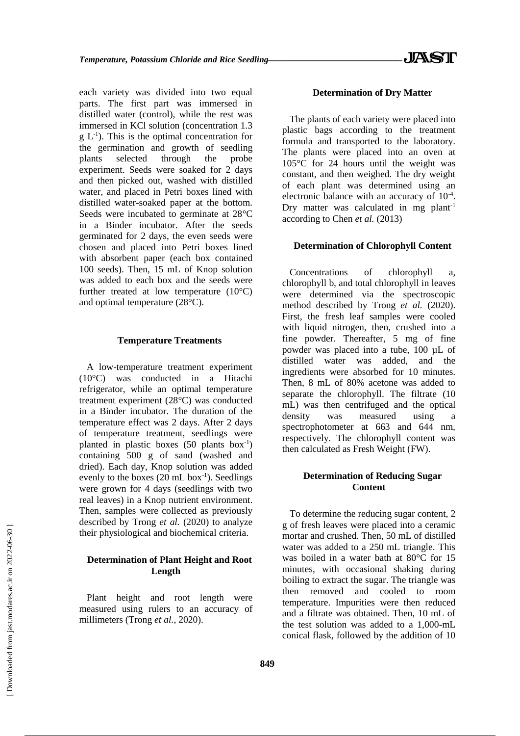each variety was divided into two equal parts. The first part was immersed in distilled water (control), while the rest was immersed in KCl solution (concentration 1.3  $g L<sup>-1</sup>$ ). This is the optimal concentration for the germination and growth of seedling plants selected through the probe experiment. Seeds were soaked for 2 days and then picked out, washed with distilled water, and placed in Petri boxes lined with distilled water-soaked paper at the bottom. Seeds were incubated to germinate at 28°C in a Binder incubator. After the seeds germinated for 2 days, the even seeds were chosen and placed into Petri boxes lined with absorbent paper (each box contained 100 seeds). Then, 15 mL of Knop solution was added to each box and the seeds were further treated at low temperature  $(10^{\circ}C)$ and optimal temperature (28°C).

#### **Temperature Treatments**

A low-temperature treatment experiment (10°C) was conducted in a Hitachi refrigerator, while an optimal temperature treatment experiment (28°C) was conducted in a Binder incubator. The duration of the temperature effect was 2 days. After 2 days of temperature treatment, seedlings were planted in plastic boxes (50 plants box<sup>-1</sup>) containing 500 g of sand (washed and dried). Each day, Knop solution was added evenly to the boxes  $(20 \text{ mL box}^{-1})$ . Seedlings were grown for 4 days (seedlings with two real leaves) in a Knop nutrient environment. Then, samples were collected as previously described by Trong *et al.* (2020) to analyze their physiological and biochemical criteria.

# **Determination of Plant Height and Root Length**

Plant height and root length were measured using rulers to an accuracy of millimeters (Trong *et al.*, 2020).

#### **Determination of Dry Matter**

The plants of each variety were placed into plastic bags according to the treatment formula and transported to the laboratory. The plants were placed into an oven at 105°C for 24 hours until the weight was constant, and then weighed. The dry weight of each plant was determined using an electronic balance with an accuracy of  $10^{-4}$ . Dry matter was calculated in mg plant<sup>-1</sup> according to Chen *et al.* (2013)

### **Determination of Chlorophyll Content**

Concentrations of chlorophyll a, chlorophyll b, and total chlorophyll in leaves were determined via the spectroscopic method described by Trong *et al.* (2020). First, the fresh leaf samples were cooled with liquid nitrogen, then, crushed into a fine powder. Thereafter, 5 mg of fine powder was placed into a tube, 100 µL of distilled water was added, and the ingredients were absorbed for 10 minutes. Then, 8 mL of 80% acetone was added to separate the chlorophyll. The filtrate (10 mL) was then centrifuged and the optical density was measured using a spectrophotometer at 663 and 644 nm, respectively. The chlorophyll content was then calculated as Fresh Weight (FW).

# **Determination of Reducing Sugar Content**

To determine the reducing sugar content, 2 g of fresh leaves were placed into a ceramic mortar and crushed. Then, 50 mL of distilled water was added to a 250 mL triangle. This was boiled in a water bath at 80°C for 15 minutes, with occasional shaking during boiling to extract the sugar. The triangle was then removed and cooled to room temperature. Impurities were then reduced and a filtrate was obtained. Then, 10 mL of the test solution was added to a 1,000-mL conical flask, followed by the addition of 10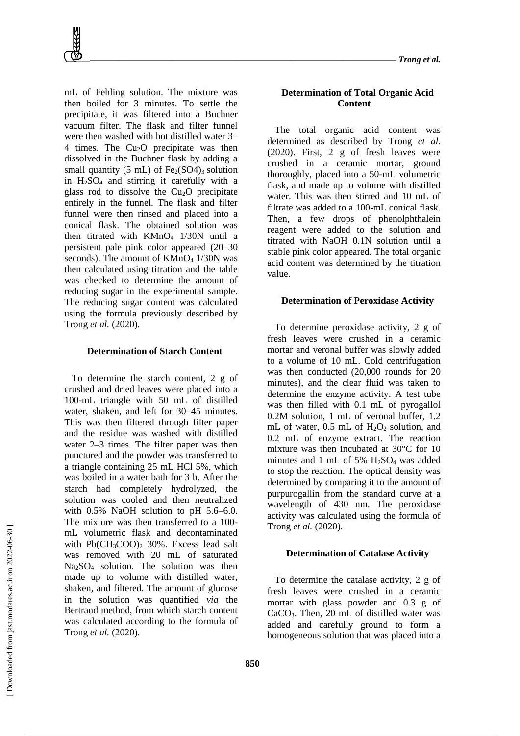mL of Fehling solution. The mixture was then boiled for 3 minutes. To settle the precipitate, it was filtered into a Buchner vacuum filter. The flask and filter funnel were then washed with hot distilled water 3– 4 times. The  $Cu<sub>2</sub>O$  precipitate was then dissolved in the Buchner flask by adding a small quantity (5 mL) of  $Fe<sub>2</sub>(SO4)<sub>3</sub>$  solution in  $H_2SO_4$  and stirring it carefully with a glass rod to dissolve the  $Cu<sub>2</sub>O$  precipitate entirely in the funnel. The flask and filter funnel were then rinsed and placed into a conical flask. The obtained solution was then titrated with  $KMnO<sub>4</sub>$  1/30N until a persistent pale pink color appeared (20–30 seconds). The amount of  $KMnO<sub>4</sub> 1/30N$  was then calculated using titration and the table was checked to determine the amount of reducing sugar in the experimental sample. The reducing sugar content was calculated using the formula previously described by Trong *et al.* (2020).

#### **Determination of Starch Content**

To determine the starch content, 2 g of crushed and dried leaves were placed into a 100-mL triangle with 50 mL of distilled water, shaken, and left for 30–45 minutes. This was then filtered through filter paper and the residue was washed with distilled water 2–3 times. The filter paper was then punctured and the powder was transferred to a triangle containing 25 mL HCl 5%, which was boiled in a water bath for 3 h. After the starch had completely hydrolyzed, the solution was cooled and then neutralized with 0.5% NaOH solution to pH 5.6–6.0. The mixture was then transferred to a 100 mL volumetric flask and decontaminated with  $Pb(CH_3COO)$ <sub>2</sub> 30%. Excess lead salt was removed with 20 mL of saturated Na2SO<sup>4</sup> solution. The solution was then made up to volume with distilled water, shaken, and filtered. The amount of glucose in the solution was quantified *via* the Bertrand method, from which starch content was calculated according to the formula of Trong *et al.* (2020).

# **Determination of Total Organic Acid Content**

The total organic acid content was determined as described by Trong *et al.* (2020). First, 2 g of fresh leaves were crushed in a ceramic mortar, ground thoroughly, placed into a 50-mL volumetric flask, and made up to volume with distilled water. This was then stirred and 10 mL of filtrate was added to a 100-mL conical flask. Then, a few drops of phenolphthalein reagent were added to the solution and titrated with NaOH 0.1N solution until a stable pink color appeared. The total organic acid content was determined by the titration value.

#### **Determination of Peroxidase Activity**

To determine peroxidase activity, 2 g of fresh leaves were crushed in a ceramic mortar and veronal buffer was slowly added to a volume of 10 mL. Cold centrifugation was then conducted (20,000 rounds for 20 minutes), and the clear fluid was taken to determine the enzyme activity. A test tube was then filled with 0.1 mL of pyrogallol 0.2M solution, 1 mL of veronal buffer, 1.2 mL of water,  $0.5$  mL of  $H_2O_2$  solution, and 0.2 mL of enzyme extract. The reaction mixture was then incubated at 30°C for 10 minutes and 1 mL of 5%  $H_2SO_4$  was added to stop the reaction. The optical density was determined by comparing it to the amount of purpurogallin from the standard curve at a wavelength of 430 nm. The peroxidase activity was calculated using the formula of Trong *et al.* (2020).

#### **Determination of Catalase Activity**

To determine the catalase activity, 2 g of fresh leaves were crushed in a ceramic mortar with glass powder and 0.3 g of CaCO3. Then, 20 mL of distilled water was added and carefully ground to form a homogeneous solution that was placed into a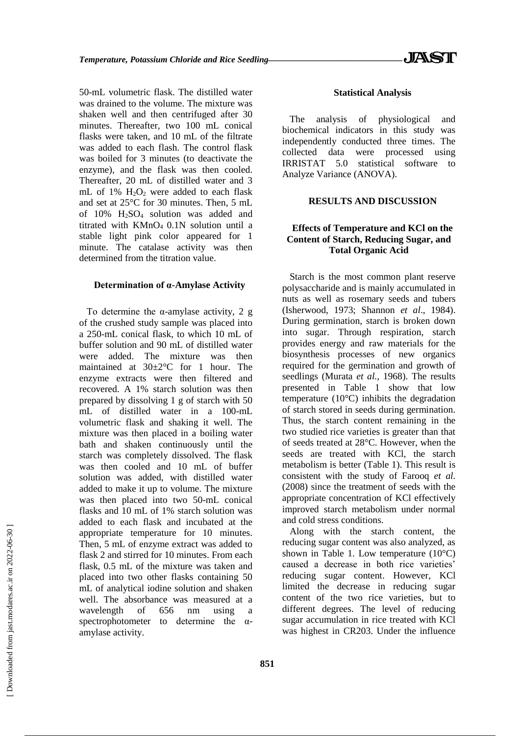50-mL volumetric flask. The distilled water was drained to the volume. The mixture was shaken well and then centrifuged after 30 minutes. Thereafter, two 100 mL conical flasks were taken, and 10 mL of the filtrate was added to each flash. The control flask was boiled for 3 minutes (to deactivate the enzyme), and the flask was then cooled. Thereafter, 20 mL of distilled water and 3 mL of  $1\%$  H<sub>2</sub>O<sub>2</sub> were added to each flask and set at 25°C for 30 minutes. Then, 5 mL of 10% H2SO<sup>4</sup> solution was added and titrated with  $KMnO<sub>4</sub> 0.1N$  solution until a stable light pink color appeared for 1 minute. The catalase activity was then determined from the titration value.

#### **Determination of α-Amylase Activity**

To determine the  $\alpha$ -amylase activity, 2 g of the crushed study sample was placed into a 250-mL conical flask, to which 10 mL of buffer solution and 90 mL of distilled water were added. The mixture was then maintained at 30±2°C for 1 hour. The enzyme extracts were then filtered and recovered. A 1% starch solution was then prepared by dissolving 1 g of starch with 50 mL of distilled water in a 100-mL volumetric flask and shaking it well. The mixture was then placed in a boiling water bath and shaken continuously until the starch was completely dissolved. The flask was then cooled and 10 mL of buffer solution was added, with distilled water added to make it up to volume. The mixture was then placed into two 50-mL conical flasks and 10 mL of 1% starch solution was added to each flask and incubated at the appropriate temperature for 10 minutes. Then, 5 mL of enzyme extract was added to flask 2 and stirred for 10 minutes. From each flask, 0.5 mL of the mixture was taken and placed into two other flasks containing 50 mL of analytical iodine solution and shaken well. The absorbance was measured at a wavelength of 656 nm using a spectrophotometer to determine the αamylase activity.

#### **Statistical Analysis**

The analysis of physiological and biochemical indicators in this study was independently conducted three times. The collected data were processed using IRRISTAT 5.0 statistical software to Analyze Variance (ANOVA).

# **RESULTS AND DISCUSSION**

# **Effects of Temperature and KCl on the Content of Starch, Reducing Sugar, and Total Organic Acid**

Starch is the most common plant reserve polysaccharide and is mainly accumulated in nuts as well as rosemary seeds and tubers (Isherwood, 1973; Shannon *et al*., 1984). During germination, starch is broken down into sugar. Through respiration, starch provides energy and raw materials for the biosynthesis processes of new organics required for the germination and growth of seedlings (Murata *et al.*, 1968). The results presented in Table 1 show that low temperature (10°C) inhibits the degradation of starch stored in seeds during germination. Thus, the starch content remaining in the two studied rice varieties is greater than that of seeds treated at 28°C. However, when the seeds are treated with KCl, the starch metabolism is better (Table 1). This result is consistent with the study of Farooq *et al.* (2008) since the treatment of seeds with the appropriate concentration of KCl effectively improved starch metabolism under normal and cold stress conditions.

Along with the starch content, the reducing sugar content was also analyzed, as shown in Table 1. Low temperature  $(10^{\circ}C)$ caused a decrease in both rice varieties' reducing sugar content. However, KCl limited the decrease in reducing sugar content of the two rice varieties, but to different degrees. The level of reducing sugar accumulation in rice treated with KCl was highest in CR203. Under the influence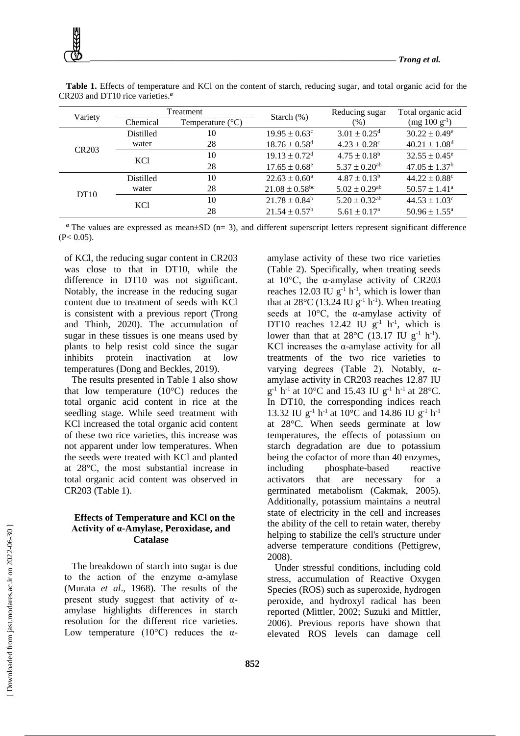| Variety      | Treatment  |                           | Starch $(\%)$                  | Reducing sugar                | Total organic acid            |
|--------------|------------|---------------------------|--------------------------------|-------------------------------|-------------------------------|
|              | Chemical   | Temperature $(^{\circ}C)$ |                                | $(\%)$                        | $(mg 100 g^{-1})$             |
|              | Distilled  | 10                        | $19.95 \pm 0.63^{\circ}$       | $3.01 \pm 0.25$ <sup>d</sup>  | $30.22 \pm 0.49^e$            |
| <b>CR203</b> | water      | 28                        | $18.76 \pm 0.58$ <sup>d</sup>  | $4.23 \pm 0.28$ <sup>c</sup>  | $40.21 \pm 1.08$ <sup>d</sup> |
|              | <b>KCl</b> | 10                        | $19.13 \pm 0.72$ <sup>d</sup>  | $4.75 \pm 0.18^{\rm b}$       | $32.55 \pm 0.45^{\circ}$      |
|              |            | 28                        | $17.65 \pm 0.68^{\circ}$       | $5.37 \pm 0.20$ <sup>ab</sup> | $47.05 \pm 1.37^{\rm b}$      |
|              | Distilled  | 10                        | $22.63 \pm 0.60^{\circ}$       | $4.87 \pm 0.13^b$             | $44.22 \pm 0.88^{\circ}$      |
| DT10         | water      | 28                        | $21.08 \pm 0.58$ <sup>bc</sup> | $5.02 \pm 0.29$ <sup>ab</sup> | $50.57 \pm 1.41^a$            |
|              | <b>KCl</b> | 10                        | $21.78 \pm 0.84^b$             | $5.20 \pm 0.32$ <sup>ab</sup> | $44.53 \pm 1.03$ <sup>c</sup> |
|              |            | 28                        | $21.54 \pm 0.57^b$             | $5.61 \pm 0.17^{\rm a}$       | $50.96 \pm 1.55^{\circ}$      |

**Table 1.** Effects of temperature and KCl on the content of starch, reducing sugar, and total organic acid for the CR203 and DT10 rice varieties.*<sup>a</sup>*

 $a$  The values are expressed as mean $\pm$ SD (n= 3), and different superscript letters represent significant difference  $(P< 0.05)$ .

of KCl, the reducing sugar content in CR203 was close to that in DT10, while the difference in DT10 was not significant. Notably, the increase in the reducing sugar content due to treatment of seeds with KCl is consistent with a previous report (Trong and Thinh, 2020). The accumulation of sugar in these tissues is one means used by plants to help resist cold since the sugar inhibits protein inactivation at low temperatures (Dong and Beckles, 2019).

The results presented in Table 1 also show that low temperature (10°C) reduces the total organic acid content in rice at the seedling stage. While seed treatment with KCl increased the total organic acid content of these two rice varieties, this increase was not apparent under low temperatures. When the seeds were treated with KCl and planted at 28°C, the most substantial increase in total organic acid content was observed in CR203 (Table 1).

# **Effects of Temperature and KCl on the Activity of α-Amylase, Peroxidase, and Catalase**

The breakdown of starch into sugar is due to the action of the enzyme  $\alpha$ -amylase (Murata *et al*., 1968). The results of the present study suggest that activity of  $\alpha$ amylase highlights differences in starch resolution for the different rice varieties. Low temperature (10 $^{\circ}$ C) reduces the  $\alpha$ - amylase activity of these two rice varieties (Table 2). Specifically, when treating seeds at  $10^{\circ}$ C, the  $\alpha$ -amylase activity of CR203 reaches 12.03 IU  $g^{-1}$  h<sup>-1</sup>, which is lower than that at  $28^{\circ}$ C (13.24 IU g<sup>-1</sup> h<sup>-1</sup>). When treating seeds at  $10^{\circ}$ C, the  $\alpha$ -amylase activity of DT10 reaches  $12.42$  IU  $g^{-1}$  h<sup>-1</sup>, which is lower than that at  $28^{\circ}$ C (13.17 IU g<sup>-1</sup> h<sup>-1</sup>). KCl increases the  $\alpha$ -amylase activity for all treatments of the two rice varieties to varying degrees (Table 2). Notably, αamylase activity in CR203 reaches 12.87 IU  $g^{-1}$  h<sup>-1</sup> at 10°C and 15.43 IU  $g^{-1}$  h<sup>-1</sup> at 28°C. In DT10, the corresponding indices reach 13.32 IU  $g^{-1}$  h<sup>-1</sup> at 10°C and 14.86 IU  $g^{-1}$  h<sup>-1</sup> at 28°C. When seeds germinate at low temperatures, the effects of potassium on starch degradation are due to potassium being the cofactor of more than 40 enzymes, including phosphate-based reactive activators that are necessary for a germinated metabolism (Cakmak, 2005). Additionally, potassium maintains a neutral state of electricity in the cell and increases the ability of the cell to retain water, thereby helping to stabilize the cell's structure under adverse temperature conditions (Pettigrew, 2008).

Under stressful conditions, including cold stress, accumulation of Reactive Oxygen Species (ROS) such as superoxide, hydrogen peroxide, and hydroxyl radical has been reported (Mittler, 2002; Suzuki and Mittler, 2006). Previous reports have shown that elevated ROS levels can damage cell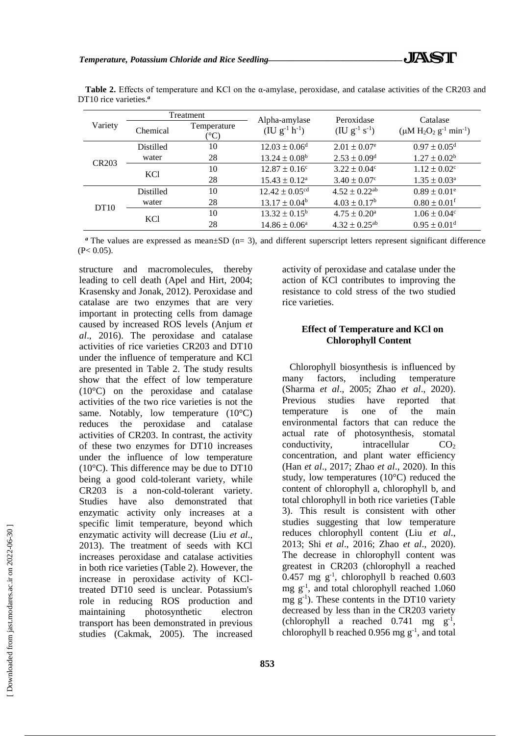| Variety      | Treatment       |                                     | Alpha-amylase                  | Peroxidase                    | Catalase                         |
|--------------|-----------------|-------------------------------------|--------------------------------|-------------------------------|----------------------------------|
|              | Chemical        | Temperature<br>$(^\circ\mathrm{C})$ | $(IU \ g^{-1} \ h^{-1})$       | $(IU \, g^{-1} \, s^{-1})$    | $(\mu M H_2O_2 g^{-1} min^{-1})$ |
| <b>CR203</b> | Distilled       | 10                                  | $12.03 \pm 0.06^d$             | $2.01 \pm 0.07^e$             | $0.97 \pm 0.05$ <sup>d</sup>     |
|              | water           | 28                                  | $13.24 \pm 0.08^b$             | $2.53 \pm 0.09$ <sup>d</sup>  | $1.27 \pm 0.02^b$                |
|              | KC <sub>1</sub> | 10                                  | $12.87 \pm 0.16^{\circ}$       | $3.22 \pm 0.04$ <sup>c</sup>  | $1.12 \pm 0.02$ <sup>c</sup>     |
|              |                 | 28                                  | $15.43 \pm 0.12^{\text{a}}$    | $3.40 \pm 0.07$ °             | $1.35 \pm 0.03^a$                |
| DT10         | Distilled       | 10                                  | $12.42 \pm 0.05$ <sup>cd</sup> | $4.52 \pm 0.22$ <sup>ab</sup> | $0.89 \pm 0.01^e$                |
|              | water           | 28                                  | $13.17 \pm 0.04^b$             | $4.03 \pm 0.17^b$             | $0.80 \pm 0.01$ <sup>f</sup>     |
|              | KC <sub>1</sub> | 10                                  | $13.32 \pm 0.15^b$             | $4.75 \pm 0.20^a$             | $1.06 \pm 0.04$ <sup>c</sup>     |
|              |                 | 28                                  | $14.86 \pm 0.06^a$             | $4.32 \pm 0.25^{ab}$          | $0.95 \pm 0.01$ <sup>d</sup>     |

**Table 2.** Effects of temperature and KCl on the α-amylase, peroxidase, and catalase activities of the CR203 and DT10 rice varieties.*<sup>a</sup>*

*a* The values are expressed as mean $\pm$ SD (n= 3), and different superscript letters represent significant difference  $(P< 0.05)$ .

structure and macromolecules, thereby leading to cell death (Apel and Hirt, 2004; Krasensky and Jonak, 2012). Peroxidase and catalase are two enzymes that are very important in protecting cells from damage caused by increased ROS levels (Anjum *et al*., 2016). The peroxidase and catalase activities of rice varieties CR203 and DT10 under the influence of temperature and KCl are presented in Table 2. The study results show that the effect of low temperature (10°C) on the peroxidase and catalase activities of the two rice varieties is not the same. Notably, low temperature (10°C) reduces the peroxidase and catalase activities of CR203. In contrast, the activity of these two enzymes for DT10 increases under the influence of low temperature (10°C). This difference may be due to DT10 being a good cold-tolerant variety, while CR203 is a non-cold-tolerant variety. Studies have also demonstrated that enzymatic activity only increases at a specific limit temperature, beyond which enzymatic activity will decrease (Liu *et al*., 2013). The treatment of seeds with KCl increases peroxidase and catalase activities in both rice varieties (Table 2). However, the increase in peroxidase activity of KCltreated DT10 seed is unclear. Potassium's role in reducing ROS production and maintaining photosynthetic electron transport has been demonstrated in previous studies (Cakmak, 2005). The increased activity of peroxidase and catalase under the action of KCl contributes to improving the resistance to cold stress of the two studied rice varieties.

# **Effect of Temperature and KCl on Chlorophyll Content**

Chlorophyll biosynthesis is influenced by many factors, including temperature (Sharma *et al*., 2005; Zhao *et al*., 2020). Previous studies have reported that temperature is one of the main environmental factors that can reduce the actual rate of photosynthesis, stomatal conductivity, intracellular  $CO<sub>2</sub>$ concentration, and plant water efficiency (Han *et al*., 2017; Zhao *et al*., 2020). In this study, low temperatures (10°C) reduced the content of chlorophyll a, chlorophyll b, and total chlorophyll in both rice varieties (Table 3). This result is consistent with other studies suggesting that low temperature reduces chlorophyll content (Liu *et al*., 2013; Shi *et al*., 2016; Zhao *et al*., 2020). The decrease in chlorophyll content was greatest in CR203 (chlorophyll a reached  $0.457$  mg  $g^{-1}$ , chlorophyll b reached  $0.603$  $mg$   $g^{-1}$ , and total chlorophyll reached 1.060 mg  $g^{-1}$ ). These contents in the DT10 variety decreased by less than in the CR203 variety (chlorophyll a reached  $0.741$  mg  $g^{-1}$ , chlorophyll b reached  $0.956$  mg  $g^{-1}$ , and total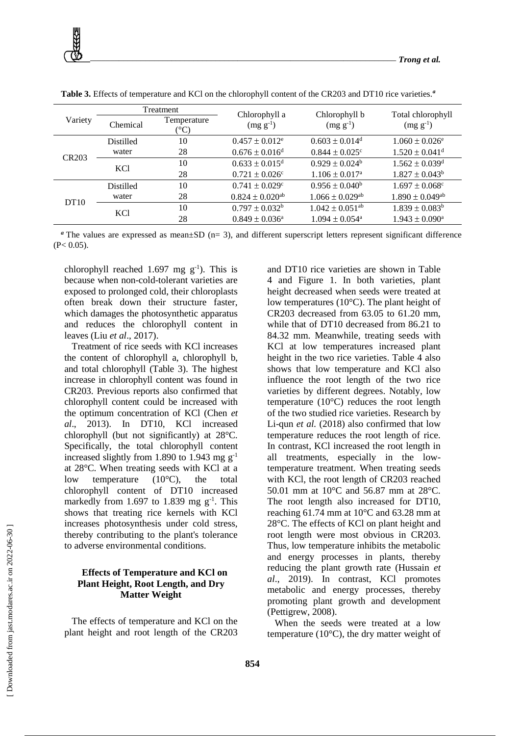| Variety           | Treatment        |                                 | Chlorophyll a                   | Chlorophyll b                   | Total chlorophyll               |
|-------------------|------------------|---------------------------------|---------------------------------|---------------------------------|---------------------------------|
|                   | Chemical         | Temperature<br>$\rm ^{\circ}C)$ | $(mg g^{-1})$                   | $(mg g^{-1})$                   | $(mg g^{-1})$                   |
| CR <sub>203</sub> | <b>Distilled</b> | 10                              | $0.457 \pm 0.012$ <sup>e</sup>  | $0.603 \pm 0.014$ <sup>d</sup>  | $1.060 \pm 0.026$ <sup>e</sup>  |
|                   | water            | 28                              | $0.676 \pm 0.016$ <sup>d</sup>  | $0.844 \pm 0.025$ <sup>c</sup>  | $1.520 \pm 0.041$ <sup>d</sup>  |
|                   | <b>KCl</b>       | 10                              | $0.633 \pm 0.015$ <sup>d</sup>  | $0.929 \pm 0.024^b$             | $1.562 \pm 0.039$ <sup>d</sup>  |
|                   |                  | 28                              | $0.721 \pm 0.026^{\circ}$       | $1.106 \pm 0.017$ <sup>a</sup>  | $1.827 \pm 0.043^b$             |
| DT10              | <b>Distilled</b> | 10                              | $0.741 \pm 0.029$ <sup>c</sup>  | $0.956 \pm 0.040^b$             | $1.697 \pm 0.068$ <sup>c</sup>  |
|                   | water            | 28                              | $0.824 \pm 0.020$ <sup>ab</sup> | $1.066 \pm 0.029$ <sup>ab</sup> | $1.890 \pm 0.049$ <sup>ab</sup> |
|                   | <b>KCl</b>       | 10                              | $0.797 \pm 0.032^b$             | $1.042 \pm 0.051$ <sup>ab</sup> | $1.839 \pm 0.083^b$             |
|                   |                  | 28                              | $0.849 \pm 0.036^a$             | $1.094 \pm 0.054$ <sup>a</sup>  | $1.943 \pm 0.090^{\text{a}}$    |

**Table 3.** Effects of temperature and KCl on the chlorophyll content of the CR203 and DT10 rice varieties.*<sup>a</sup>*

*<sup>a</sup>*The values are expressed as mean±SD (n= 3), and different superscript letters represent significant difference  $(P< 0.05)$ .

chlorophyll reached 1.697 mg  $g^{-1}$ ). This is because when non-cold-tolerant varieties are exposed to prolonged cold, their chloroplasts often break down their structure faster, which damages the photosynthetic apparatus and reduces the chlorophyll content in leaves (Liu *et al*., 2017).

Treatment of rice seeds with KCl increases the content of chlorophyll a, chlorophyll b, and total chlorophyll (Table 3). The highest increase in chlorophyll content was found in CR203. Previous reports also confirmed that chlorophyll content could be increased with the optimum concentration of KCl (Chen *et al*., 2013). In DT10, KCl increased chlorophyll (but not significantly) at 28°C. Specifically, the total chlorophyll content increased slightly from 1.890 to 1.943 mg  $g^{-1}$ at 28°C. When treating seeds with KCl at a low temperature (10°C), the total chlorophyll content of DT10 increased markedly from 1.697 to 1.839 mg  $g^{-1}$ . This shows that treating rice kernels with KCl increases photosynthesis under cold stress, thereby contributing to the plant's tolerance to adverse environmental conditions.

# **Effects of Temperature and KCl on Plant Height, Root Length, and Dry Matter Weight**

The effects of temperature and KCl on the plant height and root length of the CR203 and DT10 rice varieties are shown in Table 4 and Figure 1. In both varieties, plant height decreased when seeds were treated at low temperatures (10°C). The plant height of CR203 decreased from 63.05 to 61.20 mm, while that of DT10 decreased from 86.21 to 84.32 mm. Meanwhile, treating seeds with KCl at low temperatures increased plant height in the two rice varieties. Table 4 also shows that low temperature and KCl also influence the root length of the two rice varieties by different degrees. Notably, low temperature (10°C) reduces the root length of the two studied rice varieties. Research by Li-qun *et al.* (2018) also confirmed that low temperature reduces the root length of rice. In contrast, KCl increased the root length in all treatments, especially in the lowtemperature treatment. When treating seeds with KCl, the root length of CR203 reached 50.01 mm at 10°C and 56.87 mm at 28°C. The root length also increased for DT10, reaching 61.74 mm at 10°C and 63.28 mm at 28°C. The effects of KCl on plant height and root length were most obvious in CR203. Thus, low temperature inhibits the metabolic and energy processes in plants, thereby reducing the plant growth rate (Hussain *et al*., 2019). In contrast, KCl promotes metabolic and energy processes, thereby promoting plant growth and development (Pettigrew, 2008).

When the seeds were treated at a low temperature (10°C), the dry matter weight of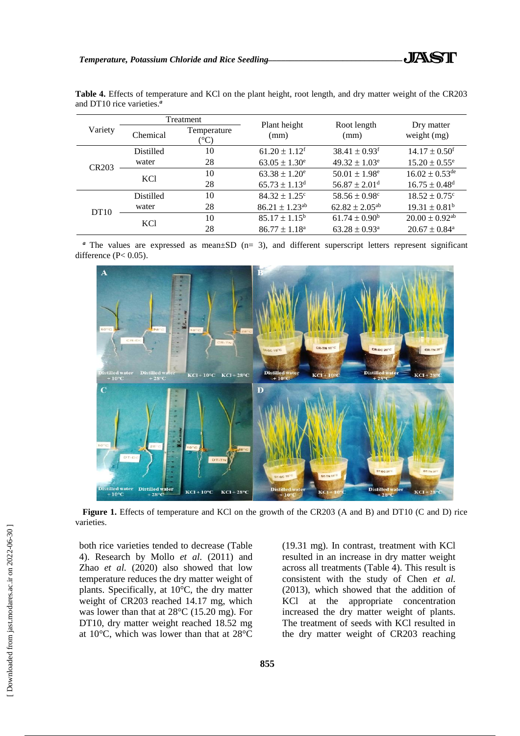| Variety           | Treatment        |                            | Plant height                   |                               |                                |
|-------------------|------------------|----------------------------|--------------------------------|-------------------------------|--------------------------------|
|                   | Chemical         | Temperature<br>$^{\circ}C$ | (mm)                           | Root length<br>(mm)           | Dry matter<br>weight (mg)      |
| CR <sub>203</sub> | <b>Distilled</b> | 10                         | $61.20 \pm 1.12^{\mathrm{f}}$  | $38.41 \pm 0.93$ <sup>f</sup> | $14.17 \pm 0.50$ <sup>f</sup>  |
|                   | water            | 28                         | $63.05 \pm 1.30^{\circ}$       | $49.32 \pm 1.03^e$            | $15.20 \pm 0.55^{\circ}$       |
|                   | KC <sub>1</sub>  | 10                         | $63.38 \pm 1.20^e$             | $50.01 \pm 1.98^{\circ}$      | $16.02 \pm 0.53^{\text{de}}$   |
|                   |                  | 28                         | $65.73 \pm 1.13$ <sup>d</sup>  | $56.87 \pm 2.01$ <sup>d</sup> | $16.75 \pm 0.48$ <sup>d</sup>  |
| DT10              | Distilled        | 10                         | $84.32 \pm 1.25$ °             | $58.56 \pm 0.98^{\circ}$      | $18.52 \pm 0.75$ °             |
|                   | water            | 28                         | $86.21 \pm 1.23$ <sup>ab</sup> | $62.82 \pm 2.05^{ab}$         | $19.31 \pm 0.81^b$             |
|                   | <b>KCl</b>       | 10                         | $85.17 \pm 1.15^b$             | $61.74 \pm 0.90^b$            | $20.00 \pm 0.92$ <sup>ab</sup> |
|                   |                  | 28                         | $86.77 \pm 1.18^a$             | $63.28 \pm 0.93$ <sup>a</sup> | $20.67 \pm 0.84$ <sup>a</sup>  |

**Table 4.** Effects of temperature and KCl on the plant height, root length, and dry matter weight of the CR203 and DT10 rice varieties.*<sup>a</sup>*

 $a$  The values are expressed as mean $\pm$ SD (n= 3), and different superscript letters represent significant difference (P< 0.05).



**Figure 1.** Effects of temperature and KCl on the growth of the CR203 (A and B) and DT10 (C and D) rice varieties.

both rice varieties tended to decrease (Table 4). Research by Mollo *et al.* (2011) and Zhao *et al.* (2020) also showed that low temperature reduces the dry matter weight of plants. Specifically, at 10°C, the dry matter weight of CR203 reached 14.17 mg, which was lower than that at 28°C (15.20 mg). For DT10, dry matter weight reached 18.52 mg at 10°C, which was lower than that at 28°C (19.31 mg). In contrast, treatment with KCl resulted in an increase in dry matter weight across all treatments (Table 4). This result is consistent with the study of Chen *et al.* (2013), which showed that the addition of KCl at the appropriate concentration increased the dry matter weight of plants. The treatment of seeds with KCl resulted in the dry matter weight of CR203 reaching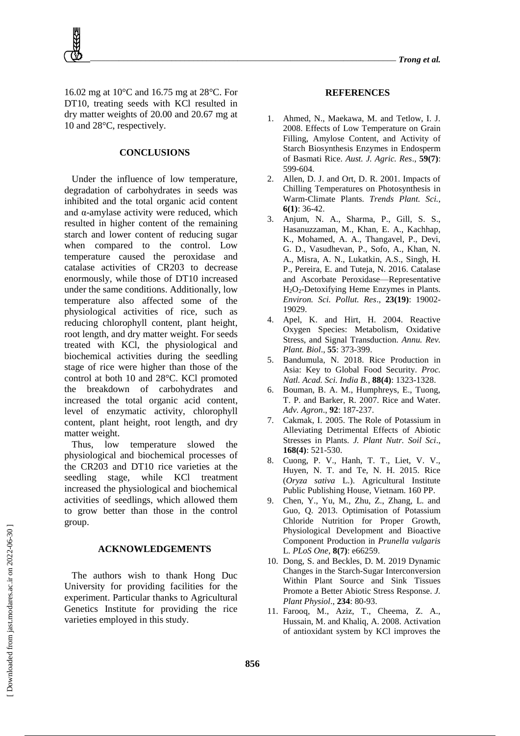16.02 mg at 10°C and 16.75 mg at 28°C. For DT10, treating seeds with KCl resulted in dry matter weights of 20.00 and 20.67 mg at 10 and 28°C, respectively.

# **CONCLUSIONS**

Under the influence of low temperature, degradation of carbohydrates in seeds was inhibited and the total organic acid content and  $\alpha$ -amylase activity were reduced, which resulted in higher content of the remaining starch and lower content of reducing sugar when compared to the control. Low temperature caused the peroxidase and catalase activities of CR203 to decrease enormously, while those of DT10 increased under the same conditions. Additionally, low temperature also affected some of the physiological activities of rice, such as reducing chlorophyll content, plant height, root length, and dry matter weight. For seeds treated with KCl, the physiological and biochemical activities during the seedling stage of rice were higher than those of the control at both 10 and 28°C. KCl promoted the breakdown of carbohydrates and increased the total organic acid content, level of enzymatic activity, chlorophyll content, plant height, root length, and dry matter weight.

Thus, low temperature slowed the physiological and biochemical processes of the CR203 and DT10 rice varieties at the seedling stage, while KCl treatment increased the physiological and biochemical activities of seedlings, which allowed them to grow better than those in the control group.

#### **ACKNOWLEDGEMENTS**

The authors wish to thank Hong Duc University for providing facilities for the experiment. Particular thanks to Agricultural Genetics Institute for providing the rice varieties employed in this study.

#### **REFERENCES**

- 1. Ahmed, N., Maekawa, M. and Tetlow, I. J. 2008. Effects of Low Temperature on Grain Filling, Amylose Content, and Activity of Starch Biosynthesis Enzymes in Endosperm of Basmati Rice. *Aust. J. Agric. Res*., **59(7)**: 599-604.
- 2. Allen, D. J. and Ort, D. R. 2001. Impacts of Chilling Temperatures on Photosynthesis in Warm-Climate Plants. *Trends Plant. Sci.*, **6(1)**: 36-42.
- 3. Anjum, N. A., Sharma, P., Gill, S. S., Hasanuzzaman, M., Khan, E. A., Kachhap, K., Mohamed, A. A., Thangavel, P., Devi, G. D., Vasudhevan, P., Sofo, A., Khan, N. A., Misra, A. N., Lukatkin, A.S., Singh, H. P., Pereira, E. and Tuteja, N. 2016. Catalase and Ascorbate Peroxidase—Representative H2O2-Detoxifying Heme Enzymes in Plants. *Environ. Sci. Pollut. Res*., **23(19)**: 19002- 19029.
- 4. Apel, K. and Hirt, H. 2004. Reactive Oxygen Species: Metabolism, Oxidative Stress, and Signal Transduction. *Annu. Rev. Plant. Biol*., **55**: 373-399.
- 5. Bandumula, N. 2018. Rice Production in Asia: Key to Global Food Security. *Proc. Natl. Acad. Sci. India B.*, **88(4)**: 1323-1328.
- 6. Bouman, B. A. M., Humphreys, E., Tuong, T. P. and Barker, R. 2007. Rice and Water. *Adv. Agron*., **92**: 187-237.
- 7. Cakmak, I. 2005. The Role of Potassium in Alleviating Detrimental Effects of Abiotic Stresses in Plants. *J. Plant Nutr. Soil Sci*., **168(4)**: 521-530.
- 8. Cuong, P. V., Hanh, T. T., Liet, V. V., Huyen, N. T. and Te, N. H. 2015. Rice (*Oryza sativa* L.). Agricultural Institute Public Publishing House, Vietnam. 160 PP.
- 9. Chen, Y., Yu, M., Zhu, Z., Zhang, L. and Guo, Q. 2013. Optimisation of Potassium Chloride Nutrition for Proper Growth, Physiological Development and Bioactive Component Production in *Prunella vulgaris* L. *PLoS One*, **8(7)**: e66259.
- 10. Dong, S. and Beckles, D. M. 2019 Dynamic Changes in the Starch-Sugar Interconversion Within Plant Source and Sink Tissues Promote a Better Abiotic Stress Response. *J. Plant Physiol*., **234**: 80-93.
- 11. Farooq, M., Aziz, T., Cheema, Z. A., Hussain, M. and Khaliq, A. 2008. Activation of antioxidant system by KCl improves the

 [\[ Downloaded from jast.modares.ac.ir on 2](https://jast.modares.ac.ir/article-23-51898-en.html)022-06-30 ] Downloaded from jast.modares.ac.ir on 2022-06-30]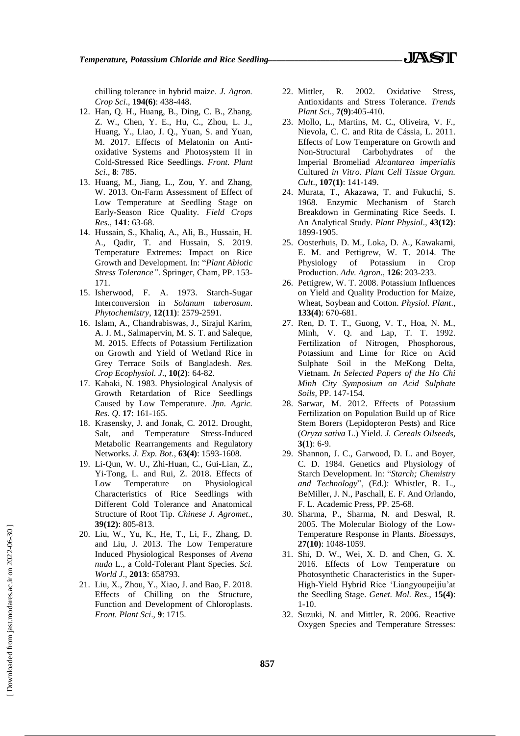chilling tolerance in hybrid maize. *J. Agron. Crop Sci*., **194(6)**: 438-448.

- 12. Han, Q. H., Huang, B., Ding, C. B., Zhang, Z. W., Chen, Y. E., Hu, C., Zhou, L. J., Huang, Y., Liao, J. Q., Yuan, S. and Yuan, M. 2017. Effects of Melatonin on Antioxidative Systems and Photosystem II in Cold-Stressed Rice Seedlings. *Front. Plant Sci*., **8**: 785.
- 13. Huang, M., Jiang, L., Zou, Y. and Zhang, W. 2013. On-Farm Assessment of Effect of Low Temperature at Seedling Stage on Early-Season Rice Quality. *Field Crops Res*., **141**: 63-68.
- 14. Hussain, S., Khaliq, A., Ali, B., Hussain, H. A., Qadir, T. and Hussain, S. 2019. Temperature Extremes: Impact on Rice Growth and Development. In: "*Plant Abiotic Stress Tolerance"*. Springer, Cham, PP. 153- 171.
- 15. Isherwood, F. A. 1973. Starch-Sugar Interconversion in *Solanum tuberosum*. *Phytochemistry*, **12(11)**: 2579-2591.
- 16. Islam, A., Chandrabiswas, J., Sirajul Karim, A. J. M., Salmapervin, M. S. T. and Saleque, M. 2015. Effects of Potassium Fertilization on Growth and Yield of Wetland Rice in Grey Terrace Soils of Bangladesh. *Res. Crop Ecophysiol. J*., **10(2)**: 64-82.
- 17. Kabaki, N. 1983. Physiological Analysis of Growth Retardation of Rice Seedlings Caused by Low Temperature. *Jpn. Agric. Res. Q*. **17**: 161-165.
- 18. Krasensky, J. and Jonak, C. 2012. Drought, Salt, and Temperature Stress-Induced Metabolic Rearrangements and Regulatory Networks*. J. Exp. Bot*., **63(4)**: 1593-1608.
- 19. Li-Qun, W. U., Zhi-Huan, C., Gui-Lian, Z., Yi-Tong, L. and Rui, Z. 2018. Effects of Low Temperature on Physiological Characteristics of Rice Seedlings with Different Cold Tolerance and Anatomical Structure of Root Tip. *Chinese J. Agromet*., **39(12)**: 805-813.
- 20. Liu, W., Yu, K., He, T., Li, F., Zhang, D. and Liu, J. 2013. The Low Temperature Induced Physiological Responses of *Avena nuda* L., a Cold-Tolerant Plant Species. *Sci. World J*., **2013**: 658793.
- 21. Liu, X., Zhou, Y., Xiao, J. and Bao, F. 2018. Effects of Chilling on the Structure, Function and Development of Chloroplasts. *Front. Plant Sci*., **9**: 1715.
- 22. Mittler, R. 2002. Oxidative Stress, Antioxidants and Stress Tolerance. *Trends Plant Sci*., **7(9)**:405-410.
- 23. Mollo, L., Martins, M. C., Oliveira, V. F., Nievola, C. C. and Rita de Cássia, L. 2011. Effects of Low Temperature on Growth and Non-Structural Carbohydrates of the Imperial Bromeliad *Alcantarea imperialis* Cultured *in Vitro*. *Plant Cell Tissue Organ. Cult*., **107(1)**: 141-149.
- 24. Murata, T., Akazawa, T. and Fukuchi, S. 1968. Enzymic Mechanism of Starch Breakdown in Germinating Rice Seeds. I. An Analytical Study. *Plant Physiol*., **43(12)**: 1899-1905.
- 25. Oosterhuis, D. M., Loka, D. A., Kawakami, E. M. and Pettigrew, W. T. 2014. The Physiology of Potassium in Crop Production. *Adv. Agron*., **126**: 203-233.
- 26. Pettigrew, W. T. 2008. Potassium Influences on Yield and Quality Production for Maize, Wheat, Soybean and Cotton. *Physiol. Plant*., **133(4)**: 670-681.
- 27. Ren, D. T. T., Guong, V. T., Hoa, N. M., Minh, V. Q. and Lap, T. T. 1992. Fertilization of Nitrogen, Phosphorous, Potassium and Lime for Rice on Acid Sulphate Soil in the MeKong Delta, Vietnam. *In Selected Papers of the Ho Chi Minh City Symposium on Acid Sulphate Soils,* PP. 147-154.
- 28. Sarwar, M. 2012. Effects of Potassium Fertilization on Population Build up of Rice Stem Borers (Lepidopteron Pests) and Rice (*Oryza sativa* L.) Yield. *J. Cereals Oilseeds*, **3(1)**: 6-9.
- 29. Shannon, J. C., Garwood, D. L. and Boyer, C. D. 1984. Genetics and Physiology of Starch Development. In: "*Starch; Chemistry and Technology*", (Ed.): Whistler, R. L., BeMiller, J. N., Paschall, E. F. And Orlando, F. L. Academic Press, PP. 25-68.
- 30. Sharma, P., Sharma, N. and Deswal, R. 2005. The Molecular Biology of the Low-Temperature Response in Plants. *Bioessays*, **27(10)**: 1048-1059.
- 31. Shi, D. W., Wei, X. D. and Chen, G. X. 2016. Effects of Low Temperature on Photosynthetic Characteristics in the Super-High-Yield Hybrid Rice 'Liangyoupeijiu'at the Seedling Stage. *Genet. Mol. Res*., **15(4)**: 1-10.
- 32. Suzuki, N. and Mittler, R. 2006. Reactive Oxygen Species and Temperature Stresses:

**857**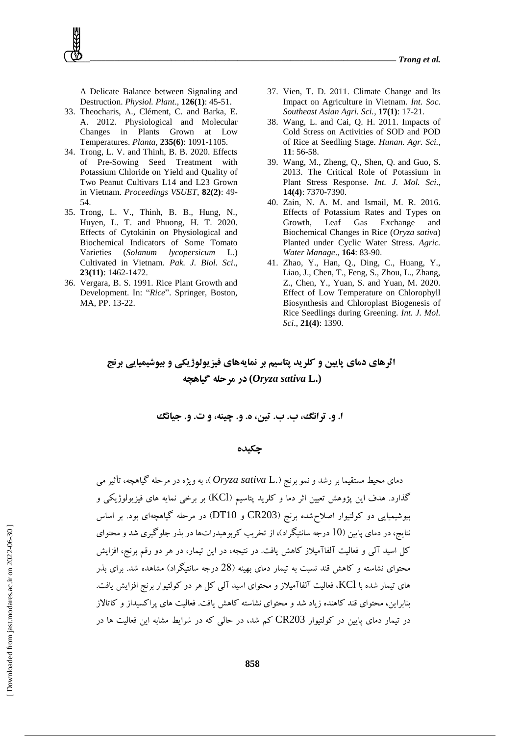A Delicate Balance between Signaling and Destruction. *Physiol. Plant*., **126(1)**: 45-51.

- 33. Theocharis, A., Clément, C. and Barka, E. A. 2012. Physiological and Molecular Changes in Plants Grown at Low Temperatures. *Planta*, **235(6)**: 1091-1105.
- 34. Trong, L. V. and Thinh, B. B. 2020. Effects of Pre-Sowing Seed Treatment with Potassium Chloride on Yield and Quality of Two Peanut Cultivars L14 and L23 Grown in Vietnam. *Proceedings VSUET*, **82(2)**: 49- 54.
- 35. Trong, L. V., Thinh, B. B., Hung, N., Huyen, L. T. and Phuong, H. T. 2020. Effects of Cytokinin on Physiological and Biochemical Indicators of Some Tomato Varieties (*Solanum lycopersicum* L.) Cultivated in Vietnam. *Pak. J. Biol. Sci*., **23(11)**: 1462-1472.
- 36. Vergara, B. S. 1991. Rice Plant Growth and Development. In: "*Rice*". Springer, Boston, MA, PP. 13-22.
- 37. Vien, T. D. 2011. Climate Change and Its Impact on Agriculture in Vietnam. *Int. Soc. Southeast Asian Agri. Sci.*, **17(1)**: 17-21.
- 38. Wang, L. and Cai, Q. H. 2011. Impacts of Cold Stress on Activities of SOD and POD of Rice at Seedling Stage. *Hunan. Agr. Sci.*, **11**: 56-58.
- 39. Wang, M., Zheng, Q., Shen, Q. and Guo, S. 2013. The Critical Role of Potassium in Plant Stress Response. *Int. J. Mol. Sci*., **14(4)**: 7370-7390.
- 40. Zain, N. A. M. and Ismail, M. R. 2016. Effects of Potassium Rates and Types on Growth, Leaf Gas Exchange and Biochemical Changes in Rice (*Oryza sativa*) Planted under Cyclic Water Stress. *Agric. Water Manage*., **164**: 83-90.
- 41. Zhao, Y., Han, Q., Ding, C., Huang, Y., Liao, J., Chen, T., Feng, S., Zhou, L., Zhang, Z., Chen, Y., Yuan, S. and Yuan, M. 2020. Effect of Low Temperature on Chlorophyll Biosynthesis and Chloroplast Biogenesis of Rice Seedlings during Greening. *Int. J. Mol. Sci*., **21(4)**: 1390.

**اثرهای دمای پایین و کلرید پتاسیم بر نمایههای فیزیولوژیکی و بیوشیمیایی برنج (.L** *sativa Oryza* **(در مرحله گیاهچه**

# **ا. و. ترانگ، ب. ب. تین، ه. و. چینه، و ت. و. جیانگ**

# **چکیده**

دمای محیط مستقیما بر رشد و نمو برنج ).L *sativa Oryza*.)، به ویژه در مرحله گیاهچه، تأثیر می گذارد. هدف این پژوهش تعیین اثر دما و کلرید پتاسیم )KCl )بر برخی نمایه های فیزیولوژیکی و بیوشیمیایی دو کولتیوار اصالحشده برنج )203CR و 10DT )در مرحله گیاهچهای بود. بر اساس نتایج، در دمای پایین )01 درجه سانتیگراد(، از تخریب کربوهیدراتها در بذر جلوگیری شد و محتوای کل اسید آلی و فعالیت آلفاآمیالز کاهش یافت. در نتیجه، در این تیمار، در هر دو رقم برنج، افزایش محتوای نشاسته و کاهش قند نسبت به تیمار دمای بهینه )82 درجه سانتیگراد( مشاهده شد. برای بذر های تیمار شده با KCl، فعالیت آلفاآمیالز و محتوای اسید آلی کل هر دو کولتیوار برنج افزایش یافت. بنابراین، محتوای قند کاهنده زیاد شد و محتوای نشاسته کاهش یافت. فعالیت های پراکسیداز و کاتاالز در تیمار دمای پایین در کولتیوار 203CR کم شد، در حالی که در شرایط مشابه این فعالیت ها در